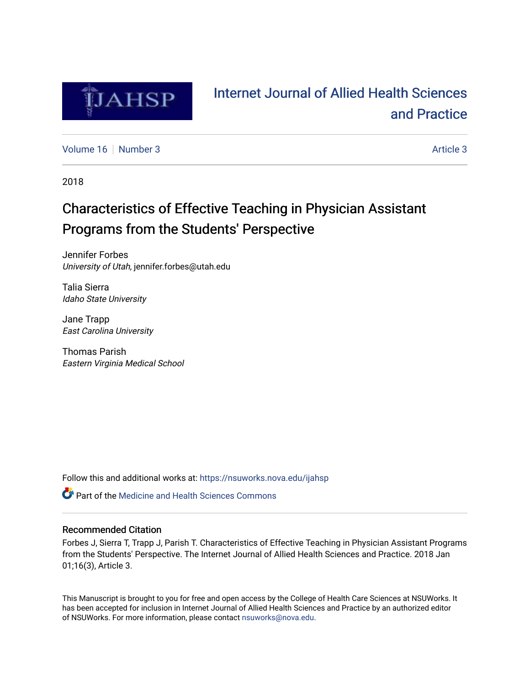

# [Internet Journal of Allied Health Sciences](https://nsuworks.nova.edu/ijahsp)  [and Practice](https://nsuworks.nova.edu/ijahsp)

[Volume 16](https://nsuworks.nova.edu/ijahsp/vol16) [Number 3](https://nsuworks.nova.edu/ijahsp/vol16/iss3) [Article 3](https://nsuworks.nova.edu/ijahsp/vol16/iss3/3) Article 3

2018

# Characteristics of Effective Teaching in Physician Assistant Programs from the Students' Perspective

Jennifer Forbes University of Utah, jennifer.forbes@utah.edu

Talia Sierra Idaho State University

Jane Trapp East Carolina University

Thomas Parish Eastern Virginia Medical School

Follow this and additional works at: [https://nsuworks.nova.edu/ijahsp](https://nsuworks.nova.edu/ijahsp?utm_source=nsuworks.nova.edu%2Fijahsp%2Fvol16%2Fiss3%2F3&utm_medium=PDF&utm_campaign=PDFCoverPages) 

**C** Part of the Medicine and Health Sciences Commons

### Recommended Citation

Forbes J, Sierra T, Trapp J, Parish T. Characteristics of Effective Teaching in Physician Assistant Programs from the Students' Perspective. The Internet Journal of Allied Health Sciences and Practice. 2018 Jan 01;16(3), Article 3.

This Manuscript is brought to you for free and open access by the College of Health Care Sciences at NSUWorks. It has been accepted for inclusion in Internet Journal of Allied Health Sciences and Practice by an authorized editor of NSUWorks. For more information, please contact [nsuworks@nova.edu.](mailto:nsuworks@nova.edu)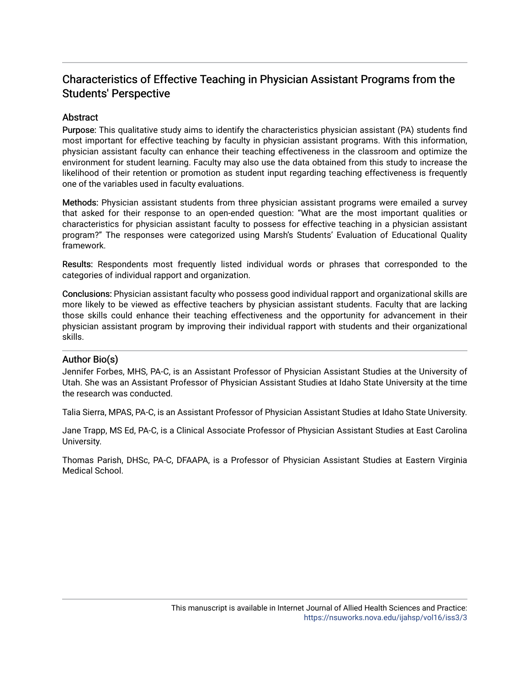# Characteristics of Effective Teaching in Physician Assistant Programs from the Students' Perspective

## Abstract

Purpose: This qualitative study aims to identify the characteristics physician assistant (PA) students find most important for effective teaching by faculty in physician assistant programs. With this information, physician assistant faculty can enhance their teaching effectiveness in the classroom and optimize the environment for student learning. Faculty may also use the data obtained from this study to increase the likelihood of their retention or promotion as student input regarding teaching effectiveness is frequently one of the variables used in faculty evaluations.

Methods: Physician assistant students from three physician assistant programs were emailed a survey that asked for their response to an open-ended question: "What are the most important qualities or characteristics for physician assistant faculty to possess for effective teaching in a physician assistant program?" The responses were categorized using Marsh's Students' Evaluation of Educational Quality framework.

Results: Respondents most frequently listed individual words or phrases that corresponded to the categories of individual rapport and organization.

Conclusions: Physician assistant faculty who possess good individual rapport and organizational skills are more likely to be viewed as effective teachers by physician assistant students. Faculty that are lacking those skills could enhance their teaching effectiveness and the opportunity for advancement in their physician assistant program by improving their individual rapport with students and their organizational skills.

### Author Bio(s)

Jennifer Forbes, MHS, PA-C, is an Assistant Professor of Physician Assistant Studies at the University of Utah. She was an Assistant Professor of Physician Assistant Studies at Idaho State University at the time the research was conducted.

Talia Sierra, MPAS, PA-C, is an Assistant Professor of Physician Assistant Studies at Idaho State University.

Jane Trapp, MS Ed, PA-C, is a Clinical Associate Professor of Physician Assistant Studies at East Carolina University.

Thomas Parish, DHSc, PA-C, DFAAPA, is a Professor of Physician Assistant Studies at Eastern Virginia Medical School.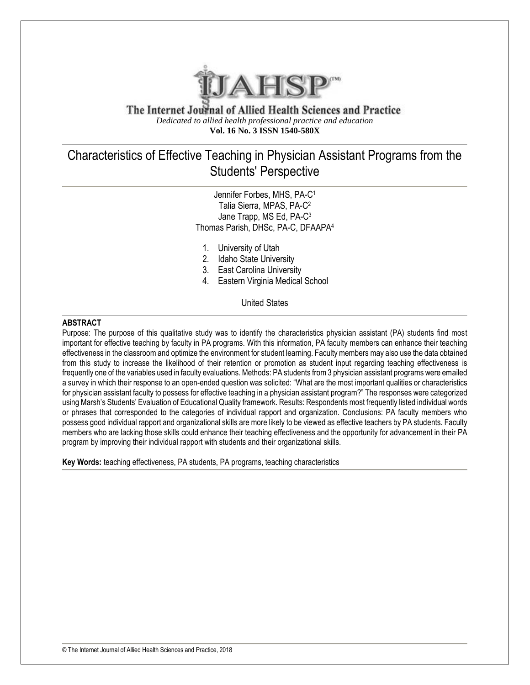

The Internet Journal of Allied Health Sciences and Practice *Dedicated to allied health professional practice and education* **Vol. 16 No. 3 ISSN 1540-580X**

# Characteristics of Effective Teaching in Physician Assistant Programs from the Students' Perspective

Jennifer Forbes, MHS, PA-C<sup>1</sup> Talia Sierra, MPAS, PA-C<sup>2</sup> Jane Trapp, MS Ed, PA-C<sup>3</sup> Thomas Parish, DHSc, PA-C, DFAAPA<sup>4</sup>

- 1. University of Utah
- 2. Idaho State University
- 3. East Carolina University
- 4. Eastern Virginia Medical School

United States

#### **ABSTRACT**

Purpose: The purpose of this qualitative study was to identify the characteristics physician assistant (PA) students find most important for effective teaching by faculty in PA programs. With this information, PA faculty members can enhance their teaching effectiveness in the classroom and optimize the environment for student learning. Faculty members may also use the data obtained from this study to increase the likelihood of their retention or promotion as student input regarding teaching effectiveness is frequently one of the variables used in faculty evaluations. Methods: PA students from 3 physician assistant programs were emailed a survey in which their response to an open-ended question was solicited: "What are the most important qualities or characteristics for physician assistant faculty to possess for effective teaching in a physician assistant program?" The responses were categorized using Marsh's Students' Evaluation of Educational Quality framework. Results: Respondents most frequently listed individual words or phrases that corresponded to the categories of individual rapport and organization. Conclusions: PA faculty members who possess good individual rapport and organizational skills are more likely to be viewed as effective teachers by PA students. Faculty members who are lacking those skills could enhance their teaching effectiveness and the opportunity for advancement in their PA program by improving their individual rapport with students and their organizational skills.

**Key Words:** teaching effectiveness, PA students, PA programs, teaching characteristics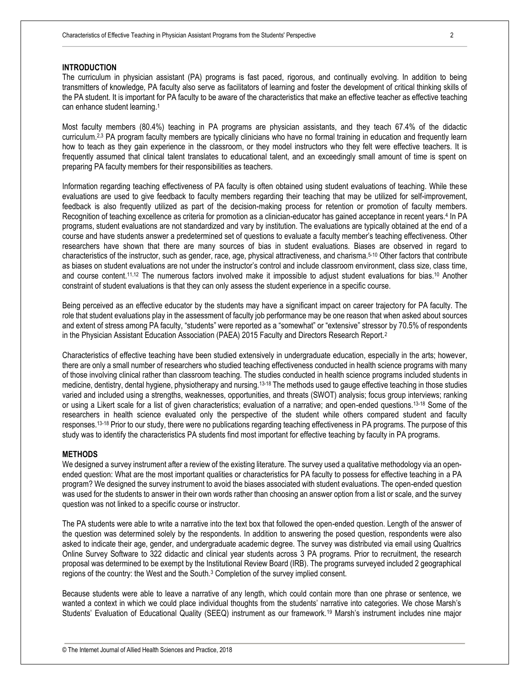#### **INTRODUCTION**

The curriculum in physician assistant (PA) programs is fast paced, rigorous, and continually evolving. In addition to being transmitters of knowledge, PA faculty also serve as facilitators of learning and foster the development of critical thinking skills of the PA student. It is important for PA faculty to be aware of the characteristics that make an effective teacher as effective teaching can enhance student learning.<sup>1</sup>

Most faculty members (80.4%) teaching in PA programs are physician assistants, and they teach 67.4% of the didactic curriculum.2,3 PA program faculty members are typically clinicians who have no formal training in education and frequently learn how to teach as they gain experience in the classroom, or they model instructors who they felt were effective teachers. It is frequently assumed that clinical talent translates to educational talent, and an exceedingly small amount of time is spent on preparing PA faculty members for their responsibilities as teachers.

Information regarding teaching effectiveness of PA faculty is often obtained using student evaluations of teaching. While these evaluations are used to give feedback to faculty members regarding their teaching that may be utilized for self-improvement, feedback is also frequently utilized as part of the decision-making process for retention or promotion of faculty members. Recognition of teaching excellence as criteria for promotion as a clinician-educator has gained acceptance in recent years.<sup>4</sup> In PA programs, student evaluations are not standardized and vary by institution. The evaluations are typically obtained at the end of a course and have students answer a predetermined set of questions to evaluate a faculty member's teaching effectiveness. Other researchers have shown that there are many sources of bias in student evaluations. Biases are observed in regard to characteristics of the instructor, such as gender, race, age, physical attractiveness, and charisma.5-10 Other factors that contribute as biases on student evaluations are not under the instructor's control and include classroom environment, class size, class time, and course content.<sup>11,12</sup> The numerous factors involved make it impossible to adjust student evaluations for bias.<sup>10</sup> Another constraint of student evaluations is that they can only assess the student experience in a specific course.

Being perceived as an effective educator by the students may have a significant impact on career trajectory for PA faculty. The role that student evaluations play in the assessment of faculty job performance may be one reason that when asked about sources and extent of stress among PA faculty, "students" were reported as a "somewhat" or "extensive" stressor by 70.5% of respondents in the Physician Assistant Education Association (PAEA) 2015 Faculty and Directors Research Report.<sup>2</sup>

Characteristics of effective teaching have been studied extensively in undergraduate education, especially in the arts; however, there are only a small number of researchers who studied teaching effectiveness conducted in health science programs with many of those involving clinical rather than classroom teaching. The studies conducted in health science programs included students in medicine, dentistry, dental hygiene, physiotherapy and nursing.13-18 The methods used to gauge effective teaching in those studies varied and included using a strengths, weaknesses, opportunities, and threats (SWOT) analysis; focus group interviews; ranking or using a Likert scale for a list of given characteristics; evaluation of a narrative; and open-ended questions.13-18 Some of the researchers in health science evaluated only the perspective of the student while others compared student and faculty responses.13-18 Prior to our study, there were no publications regarding teaching effectiveness in PA programs. The purpose of this study was to identify the characteristics PA students find most important for effective teaching by faculty in PA programs.

#### **METHODS**

We designed a survey instrument after a review of the existing literature. The survey used a qualitative methodology via an openended question: What are the most important qualities or characteristics for PA faculty to possess for effective teaching in a PA program? We designed the survey instrument to avoid the biases associated with student evaluations. The open-ended question was used for the students to answer in their own words rather than choosing an answer option from a list or scale, and the survey question was not linked to a specific course or instructor.

The PA students were able to write a narrative into the text box that followed the open-ended question. Length of the answer of the question was determined solely by the respondents. In addition to answering the posed question, respondents were also asked to indicate their age, gender, and undergraduate academic degree. The survey was distributed via email using Qualtrics Online Survey Software to 322 didactic and clinical year students across 3 PA programs. Prior to recruitment, the research proposal was determined to be exempt by the Institutional Review Board (IRB). The programs surveyed included 2 geographical regions of the country: the West and the South.<sup>3</sup> Completion of the survey implied consent.

Because students were able to leave a narrative of any length, which could contain more than one phrase or sentence, we wanted a context in which we could place individual thoughts from the students' narrative into categories. We chose Marsh's Students' Evaluation of Educational Quality (SEEQ) instrument as our framework.<sup>19</sup> Marsh's instrument includes nine major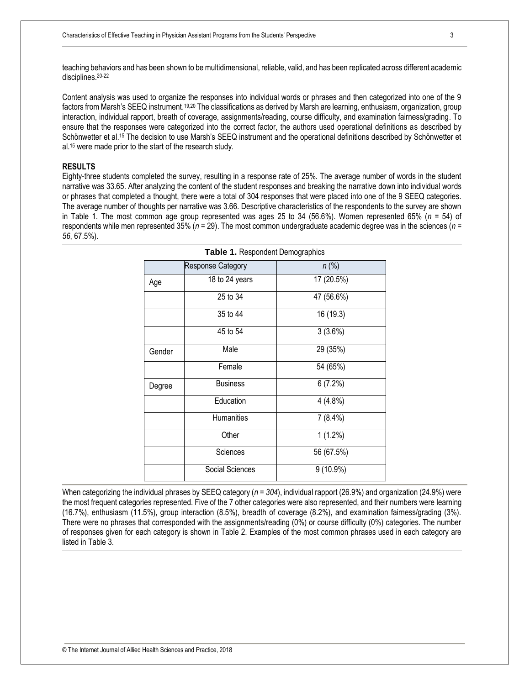teaching behaviors and has been shown to be multidimensional, reliable, valid, and has been replicated across different academic disciplines.20-22

Content analysis was used to organize the responses into individual words or phrases and then categorized into one of the 9 factors from Marsh's SEEQ instrument.19,20 The classifications as derived by Marsh are learning, enthusiasm, organization, group interaction, individual rapport, breath of coverage, assignments/reading, course difficulty, and examination fairness/grading. To ensure that the responses were categorized into the correct factor, the authors used operational definitions as described by Schönwetter et al.<sup>15</sup> The decision to use Marsh's SEEQ instrument and the operational definitions described by Schönwetter et al.<sup>15</sup> were made prior to the start of the research study.

#### **RESULTS**

Eighty-three students completed the survey, resulting in a response rate of 25%. The average number of words in the student narrative was 33.65. After analyzing the content of the student responses and breaking the narrative down into individual words or phrases that completed a thought, there were a total of 304 responses that were placed into one of the 9 SEEQ categories. The average number of thoughts per narrative was 3.66. Descriptive characteristics of the respondents to the survey are shown in Table 1. The most common age group represented was ages 25 to 34 (56.6%). Women represented 65% (*n* = 54) of respondents while men represented 35% (*n* = 29). The most common undergraduate academic degree was in the sciences (*n = 56*, 67.5%).

|        | <b>Response Category</b> | $n$ (%)     |
|--------|--------------------------|-------------|
| Age    | 18 to 24 years           | 17 (20.5%)  |
|        | 25 to 34                 | 47 (56.6%)  |
|        | 35 to 44                 | 16 (19.3)   |
|        | 45 to 54                 | 3(3.6%)     |
| Gender | Male                     | 29 (35%)    |
|        | Female                   | 54 (65%)    |
| Degree | <b>Business</b>          | 6(7.2%)     |
|        | Education                | $4(4.8\%)$  |
|        | Humanities               | $7(8.4\%)$  |
|        | Other                    | $1(1.2\%)$  |
|        | Sciences                 | 56 (67.5%)  |
|        | Social Sciences          | $9(10.9\%)$ |

|  |  | Table 1. Respondent Demographics |  |  |
|--|--|----------------------------------|--|--|
|  |  |                                  |  |  |

When categorizing the individual phrases by SEEQ category (*n = 304*), individual rapport (26.9%) and organization (24.9%) were the most frequent categories represented. Five of the 7 other categories were also represented, and their numbers were learning (16.7%), enthusiasm (11.5%), group interaction (8.5%), breadth of coverage (8.2%), and examination fairness/grading (3%). There were no phrases that corresponded with the assignments/reading (0%) or course difficulty (0%) categories. The number of responses given for each category is shown in Table 2. Examples of the most common phrases used in each category are listed in Table 3.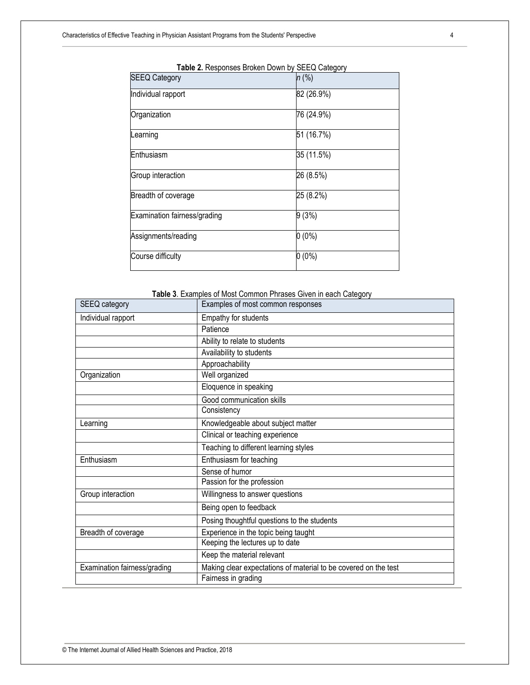| <b>SEEQ Category</b>         | $n$ (%)    |  |  |
|------------------------------|------------|--|--|
|                              |            |  |  |
| Individual rapport           | 82 (26.9%) |  |  |
| Organization                 | 76 (24.9%) |  |  |
| Learning                     | 51 (16.7%) |  |  |
| Enthusiasm                   | 35 (11.5%) |  |  |
| Group interaction            | 26 (8.5%)  |  |  |
| Breadth of coverage          | 25 (8.2%)  |  |  |
| Examination fairness/grading | 9(3%)      |  |  |
| Assignments/reading          | $0(0\%)$   |  |  |
| Course difficulty            | $0(0\%)$   |  |  |

| Table 2. Responses Broken Down by SEEQ Category |  |  |  |  |
|-------------------------------------------------|--|--|--|--|
|-------------------------------------------------|--|--|--|--|

## **Table 3**. Examples of Most Common Phrases Given in each Category

| SEEQ category                | Examples of most common responses                               |
|------------------------------|-----------------------------------------------------------------|
| Individual rapport           | Empathy for students                                            |
|                              | Patience                                                        |
|                              | Ability to relate to students                                   |
|                              | Availability to students                                        |
|                              | Approachability                                                 |
| Organization                 | Well organized                                                  |
|                              | Eloquence in speaking                                           |
|                              | Good communication skills                                       |
|                              | Consistency                                                     |
| Learning                     | Knowledgeable about subject matter                              |
|                              | Clinical or teaching experience                                 |
|                              | Teaching to different learning styles                           |
| Enthusiasm                   | Enthusiasm for teaching                                         |
|                              | Sense of humor                                                  |
|                              | Passion for the profession                                      |
| Group interaction            | Willingness to answer questions                                 |
|                              | Being open to feedback                                          |
|                              | Posing thoughtful questions to the students                     |
| Breadth of coverage          | Experience in the topic being taught                            |
|                              | Keeping the lectures up to date                                 |
|                              | Keep the material relevant                                      |
| Examination fairness/grading | Making clear expectations of material to be covered on the test |
|                              | Fairness in grading                                             |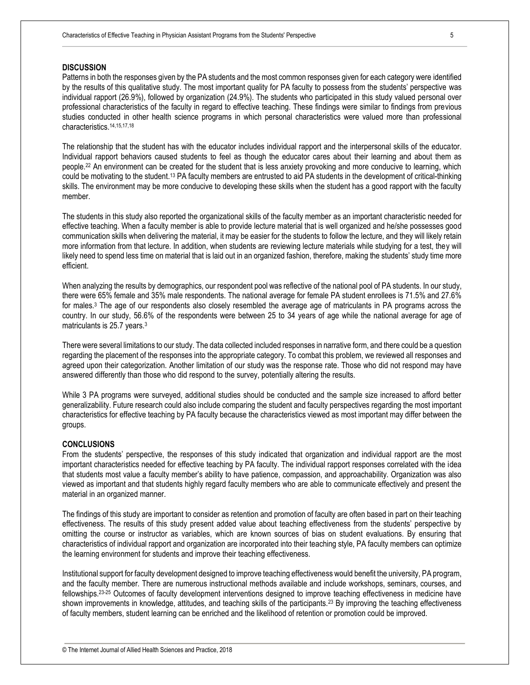#### **DISCUSSION**

Patterns in both the responses given by the PA students and the most common responses given for each category were identified by the results of this qualitative study. The most important quality for PA faculty to possess from the students' perspective was individual rapport (26.9%), followed by organization (24.9%). The students who participated in this study valued personal over professional characteristics of the faculty in regard to effective teaching. These findings were similar to findings from previous studies conducted in other health science programs in which personal characteristics were valued more than professional characteristics.14,15,17,18

The relationship that the student has with the educator includes individual rapport and the interpersonal skills of the educator. Individual rapport behaviors caused students to feel as though the educator cares about their learning and about them as people.<sup>22</sup> An environment can be created for the student that is less anxiety provoking and more conducive to learning, which could be motivating to the student.<sup>13</sup> PA faculty members are entrusted to aid PA students in the development of critical-thinking skills. The environment may be more conducive to developing these skills when the student has a good rapport with the faculty member.

The students in this study also reported the organizational skills of the faculty member as an important characteristic needed for effective teaching. When a faculty member is able to provide lecture material that is well organized and he/she possesses good communication skills when delivering the material, it may be easier for the students to follow the lecture, and they will likely retain more information from that lecture. In addition, when students are reviewing lecture materials while studying for a test, they will likely need to spend less time on material that is laid out in an organized fashion, therefore, making the students' study time more efficient.

When analyzing the results by demographics, our respondent pool was reflective of the national pool of PA students. In our study, there were 65% female and 35% male respondents. The national average for female PA student enrollees is 71.5% and 27.6% for males.<sup>3</sup> The age of our respondents also closely resembled the average age of matriculants in PA programs across the country. In our study, 56.6% of the respondents were between 25 to 34 years of age while the national average for age of matriculants is 25.7 years.<sup>3</sup>

There were several limitations to our study. The data collected included responses in narrative form, and there could be a question regarding the placement of the responses into the appropriate category. To combat this problem, we reviewed all responses and agreed upon their categorization. Another limitation of our study was the response rate. Those who did not respond may have answered differently than those who did respond to the survey, potentially altering the results.

While 3 PA programs were surveyed, additional studies should be conducted and the sample size increased to afford better generalizability. Future research could also include comparing the student and faculty perspectives regarding the most important characteristics for effective teaching by PA faculty because the characteristics viewed as most important may differ between the groups.

#### **CONCLUSIONS**

From the students' perspective, the responses of this study indicated that organization and individual rapport are the most important characteristics needed for effective teaching by PA faculty. The individual rapport responses correlated with the idea that students most value a faculty member's ability to have patience, compassion, and approachability. Organization was also viewed as important and that students highly regard faculty members who are able to communicate effectively and present the material in an organized manner.

The findings of this study are important to consider as retention and promotion of faculty are often based in part on their teaching effectiveness. The results of this study present added value about teaching effectiveness from the students' perspective by omitting the course or instructor as variables, which are known sources of bias on student evaluations. By ensuring that characteristics of individual rapport and organization are incorporated into their teaching style, PA faculty members can optimize the learning environment for students and improve their teaching effectiveness.

Institutional support for faculty development designed to improve teaching effectiveness would benefit the university, PA program, and the faculty member. There are numerous instructional methods available and include workshops, seminars, courses, and fellowships.23-25 Outcomes of faculty development interventions designed to improve teaching effectiveness in medicine have shown improvements in knowledge, attitudes, and teaching skills of the participants.<sup>23</sup> By improving the teaching effectiveness of faculty members, student learning can be enriched and the likelihood of retention or promotion could be improved.